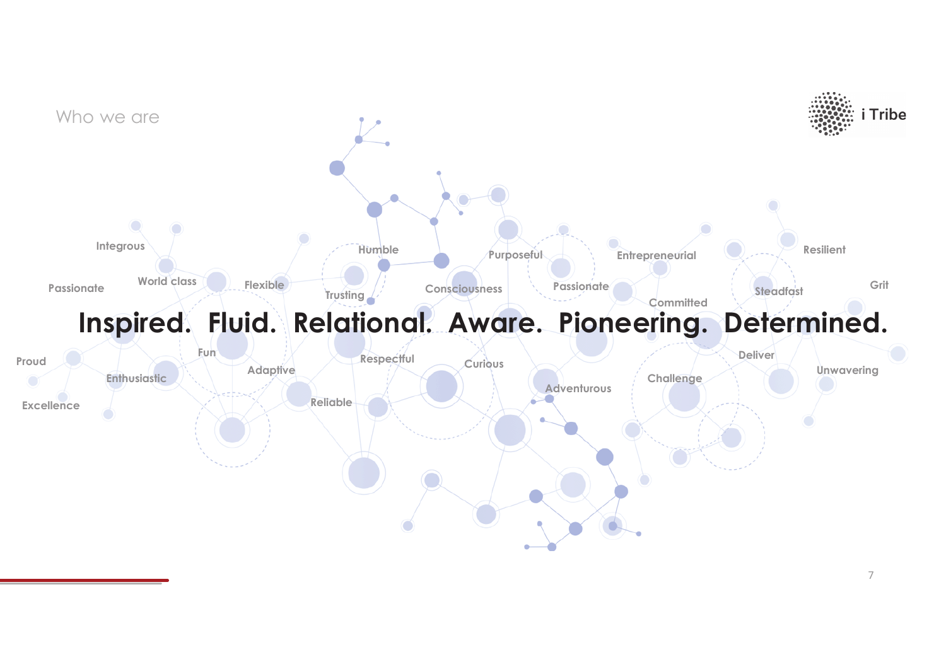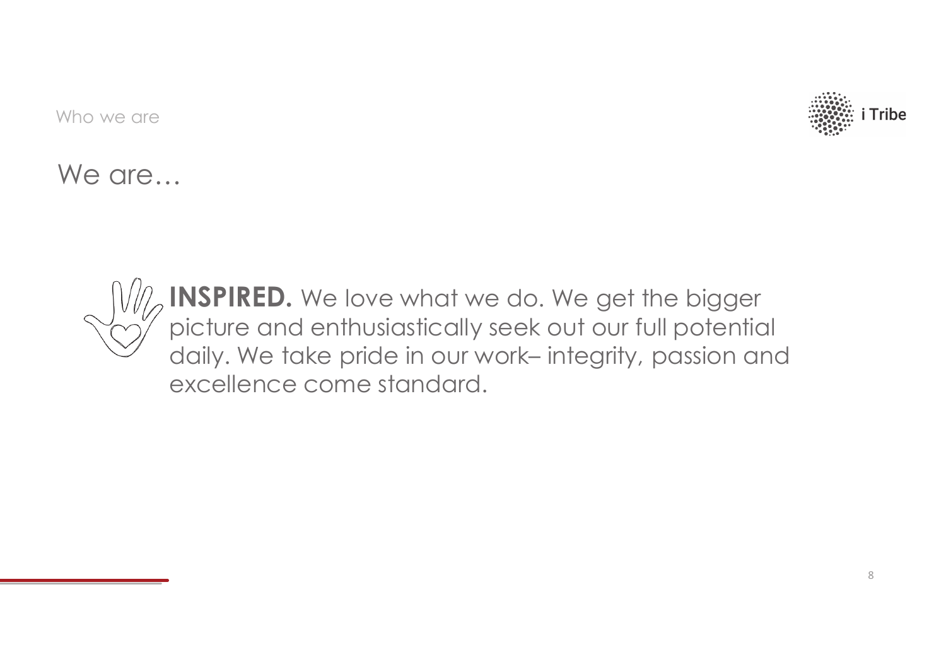

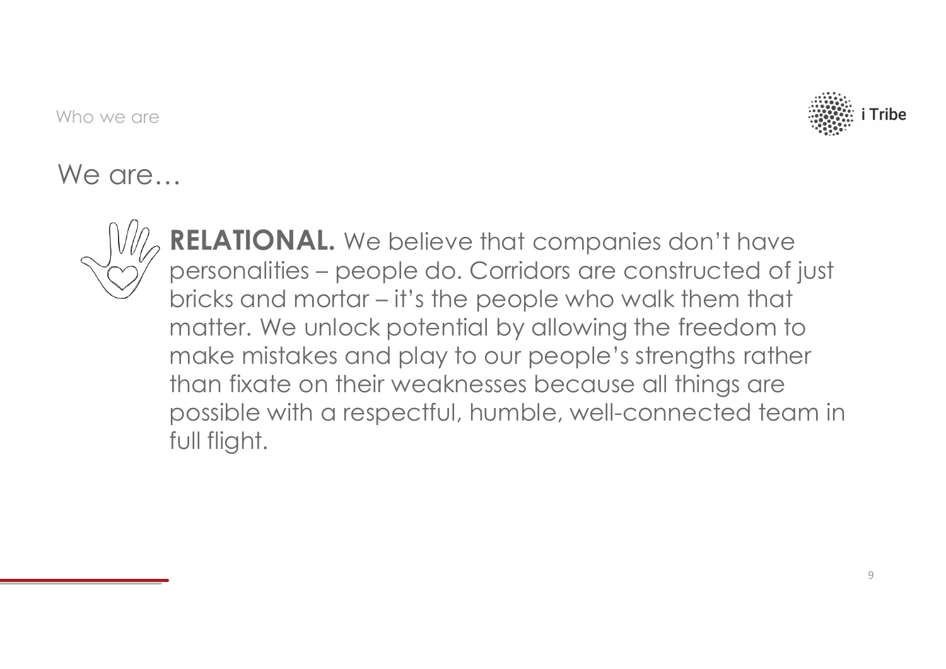

![](_page_2_Picture_3.jpeg)

**RELATIONAL.** We believe that companies don't have personalities – people do. Corridors are constructed of just bricks and mortar – it's the people who walk them that matter. We unlock potential by allowing the freedom to make mistakes and play to our people's strengths rather than fixate on their weaknesses because all things are possible with a respectful, humble, well-connected team in full flight.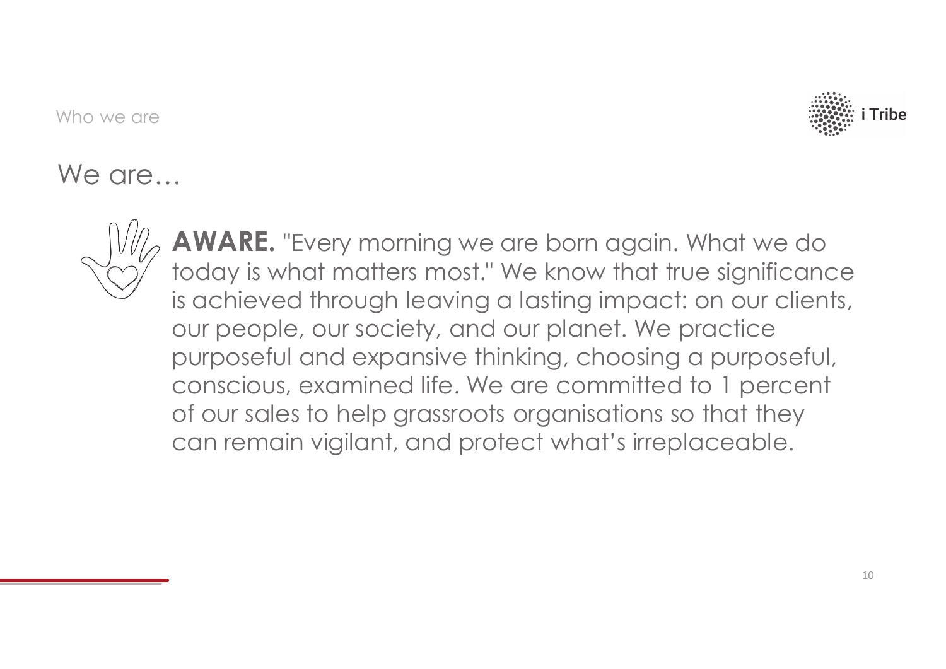![](_page_3_Picture_1.jpeg)

![](_page_3_Picture_3.jpeg)

**AWARE.** "Every morning we are born again. What we do today is what matters most." We know that true significance is achieved through leaving a lasting impact: on our clients, our people, our society, and our planet. We practice purposeful and expansive thinking, choosing a purposeful, conscious, examined life. We are committed to 1 percent of our sales to help grassroots organisations so that they can remain vigilant, and protect what's irreplaceable.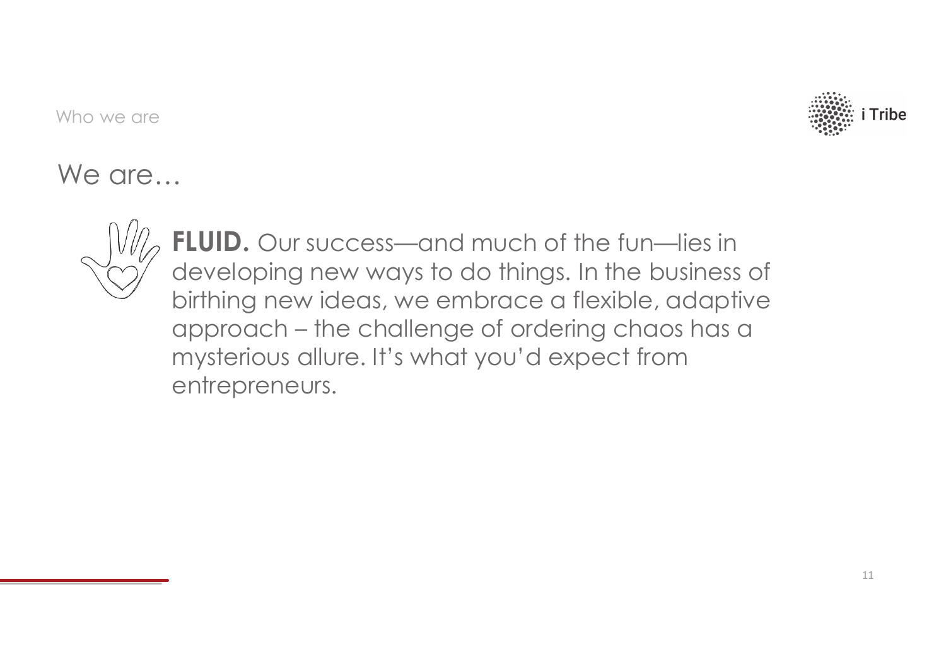![](_page_4_Picture_1.jpeg)

![](_page_4_Picture_3.jpeg)

FLUID. Our success—and much of the fun—lies in developing new ways to do things. In the business of birthing new ideas, we embrace a flexible, adaptive approach – the challenge of ordering chaos has a mysterious allure. It's what you'd expect from entrepreneurs.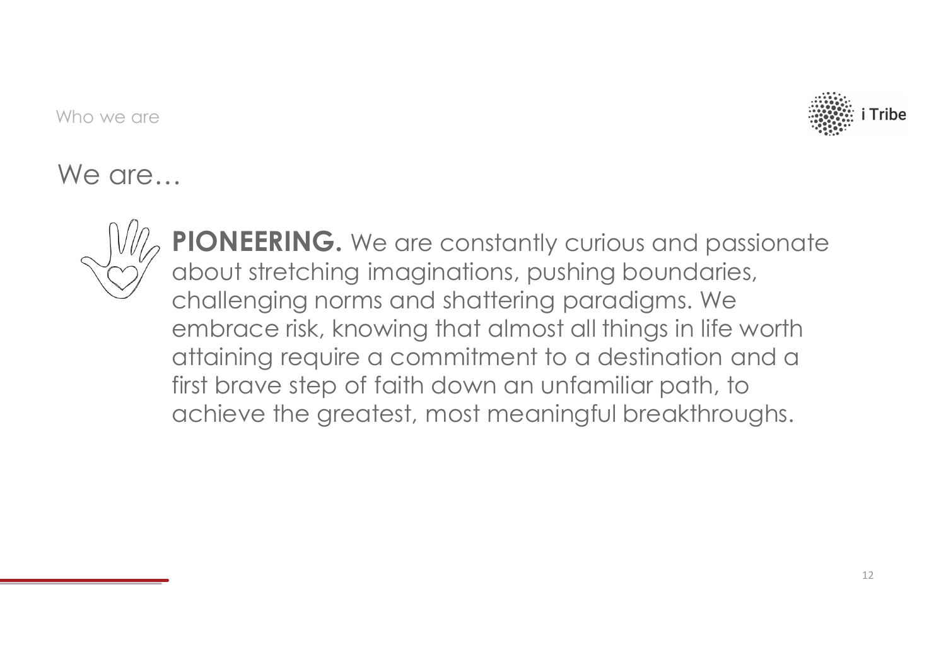![](_page_5_Picture_1.jpeg)

![](_page_5_Picture_3.jpeg)

PIONEERING. We are constantly curious and passionate about stretching imaginations, pushing boundaries, challenging norms and shattering paradigms. We embrace risk, knowing that almost all things in life worth attaining require a commitment to a destination and a first brave step of faith down an unfamiliar path, to achieve the greatest, most meaningful breakthroughs.